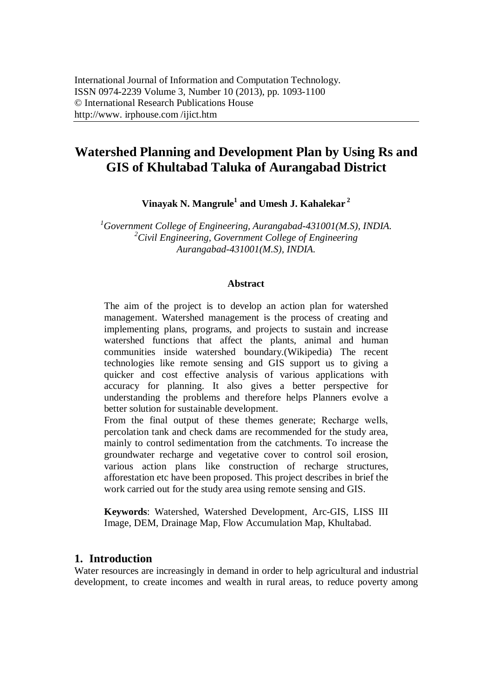# **Watershed Planning and Development Plan by Using Rs and GIS of Khultabad Taluka of Aurangabad District**

**Vinayak N. Mangrule<sup>1</sup> and Umesh J. Kahalekar <sup>2</sup>**

*<sup>1</sup>Government College of Engineering, Aurangabad-431001(M.S), INDIA. <sup>2</sup>Civil Engineering, Government College of Engineering Aurangabad-431001(M.S), INDIA.*

#### **Abstract**

The aim of the project is to develop an action plan for watershed management. Watershed management is the process of creating and implementing plans, programs, and projects to sustain and increase watershed functions that affect the plants, animal and human communities inside watershed boundary.(Wikipedia) The recent technologies like remote sensing and GIS support us to giving a quicker and cost effective analysis of various applications with accuracy for planning. It also gives a better perspective for understanding the problems and therefore helps Planners evolve a better solution for sustainable development.

From the final output of these themes generate; Recharge wells, percolation tank and check dams are recommended for the study area, mainly to control sedimentation from the catchments. To increase the groundwater recharge and vegetative cover to control soil erosion, various action plans like construction of recharge structures, afforestation etc have been proposed. This project describes in brief the work carried out for the study area using remote sensing and GIS.

**Keywords**: Watershed, Watershed Development, Arc-GIS, LISS III Image, DEM, Drainage Map, Flow Accumulation Map, Khultabad.

#### **1. Introduction**

Water resources are increasingly in demand in order to help agricultural and industrial development, to create incomes and wealth in rural areas, to reduce poverty among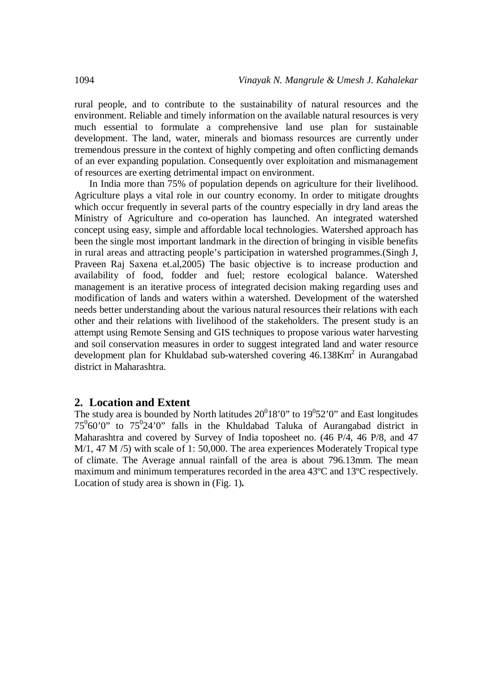rural people, and to contribute to the sustainability of natural resources and the environment. Reliable and timely information on the available natural resources is very much essential to formulate a comprehensive land use plan for sustainable development. The land, water, minerals and biomass resources are currently under tremendous pressure in the context of highly competing and often conflicting demands of an ever expanding population. Consequently over exploitation and mismanagement of resources are exerting detrimental impact on environment.

In India more than 75% of population depends on agriculture for their livelihood. Agriculture plays a vital role in our country economy. In order to mitigate droughts which occur frequently in several parts of the country especially in dry land areas the Ministry of Agriculture and co-operation has launched. An integrated watershed concept using easy, simple and affordable local technologies. Watershed approach has been the single most important landmark in the direction of bringing in visible benefits in rural areas and attracting people's participation in watershed programmes.(Singh J, Praveen Raj Saxena et.al,2005) The basic objective is to increase production and availability of food, fodder and fuel; restore ecological balance. Watershed management is an iterative process of integrated decision making regarding uses and modification of lands and waters within a watershed. Development of the watershed needs better understanding about the various natural resources their relations with each other and their relations with livelihood of the stakeholders. The present study is an attempt using Remote Sensing and GIS techniques to propose various water harvesting and soil conservation measures in order to suggest integrated land and water resource development plan for Khuldabad sub-watershed covering 46.138Km<sup>2</sup> in Aurangabad district in Maharashtra.

#### **2. Location and Extent**

The study area is bounded by North latitudes  $20^018'0''$  to  $19^052'0''$  and East longitudes  $75^060'0''$  to  $75^024'0''$  falls in the Khuldabad Taluka of Aurangabad district in Maharashtra and covered by Survey of India toposheet no. (46 P/4, 46 P/8, and 47 M/1, 47 M /5) with scale of 1: 50,000. The area experiences Moderately Tropical type of climate. The Average annual rainfall of the area is about 796.13mm. The mean maximum and minimum temperatures recorded in the area 43ºC and 13ºC respectively. Location of study area is shown in (Fig. 1)**.**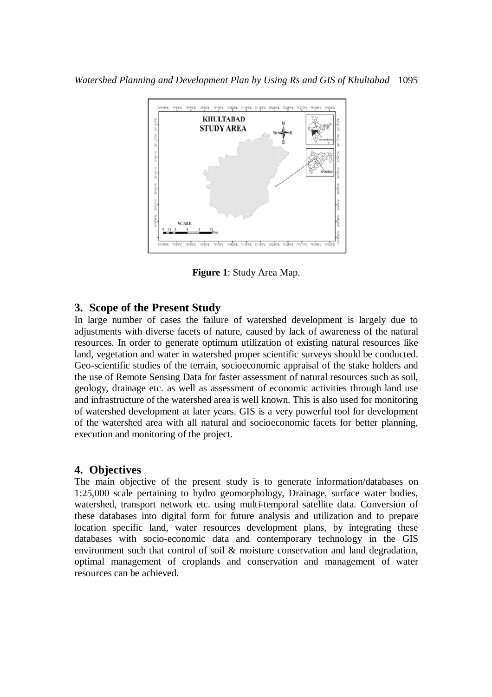

**Figure 1**: Study Area Map.

#### **3. Scope of the Present Study**

In large number of cases the failure of watershed development is largely due to adjustments with diverse facets of nature, caused by lack of awareness of the natural resources. In order to generate optimum utilization of existing natural resources like land, vegetation and water in watershed proper scientific surveys should be conducted. Geo-scientific studies of the terrain, socioeconomic appraisal of the stake holders and the use of Remote Sensing Data for faster assessment of natural resources such as soil, geology, drainage etc. as well as assessment of economic activities through land use and infrastructure of the watershed area is well known. This is also used for monitoring of watershed development at later years. GIS is a very powerful tool for development of the watershed area with all natural and socioeconomic facets for better planning, execution and monitoring of the project.

### **4. Objectives**

The main objective of the present study is to generate information/databases on 1:25,000 scale pertaining to hydro geomorphology, Drainage, surface water bodies, watershed, transport network etc. using multi-temporal satellite data. Conversion of these databases into digital form for future analysis and utilization and to prepare location specific land, water resources development plans, by integrating these databases with socio-economic data and contemporary technology in the GIS environment such that control of soil & moisture conservation and land degradation, optimal management of croplands and conservation and management of water resources can be achieved.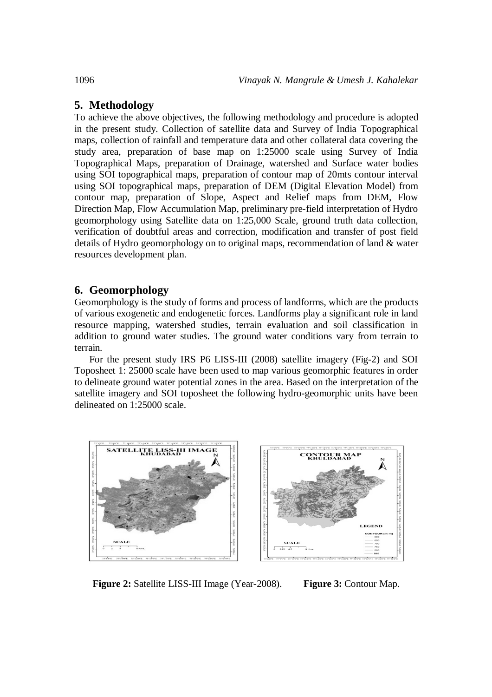### **5. Methodology**

To achieve the above objectives, the following methodology and procedure is adopted in the present study. Collection of satellite data and Survey of India Topographical maps, collection of rainfall and temperature data and other collateral data covering the study area, preparation of base map on 1:25000 scale using Survey of India Topographical Maps, preparation of Drainage, watershed and Surface water bodies using SOI topographical maps, preparation of contour map of 20mts contour interval using SOI topographical maps, preparation of DEM (Digital Elevation Model) from contour map, preparation of Slope, Aspect and Relief maps from DEM, Flow Direction Map, Flow Accumulation Map, preliminary pre-field interpretation of Hydro geomorphology using Satellite data on 1:25,000 Scale, ground truth data collection, verification of doubtful areas and correction, modification and transfer of post field details of Hydro geomorphology on to original maps, recommendation of land & water resources development plan.

### **6. Geomorphology**

Geomorphology is the study of forms and process of landforms, which are the products of various exogenetic and endogenetic forces. Landforms play a significant role in land resource mapping, watershed studies, terrain evaluation and soil classification in addition to ground water studies. The ground water conditions vary from terrain to terrain.

For the present study IRS P6 LISS-III (2008) satellite imagery (Fig-2) and SOI Toposheet 1: 25000 scale have been used to map various geomorphic features in order to delineate ground water potential zones in the area. Based on the interpretation of the satellite imagery and SOI toposheet the following hydro-geomorphic units have been delineated on 1:25000 scale.



**Figure 2:** Satellite LISS-III Image (Year-2008). **Figure 3:** Contour Map.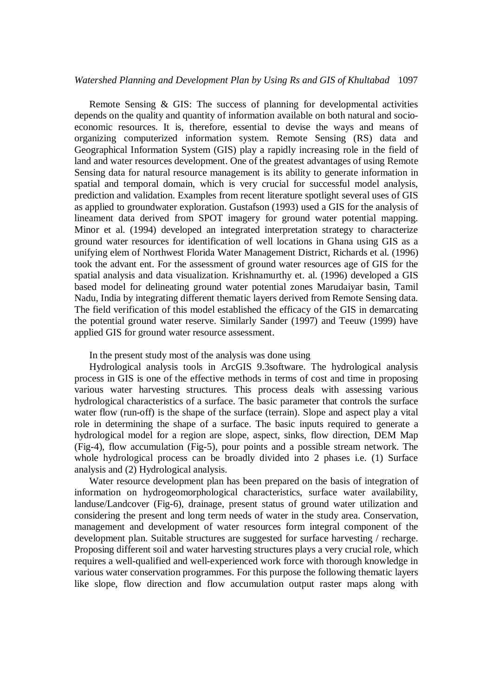#### *Watershed Planning and Development Plan by Using Rs and GIS of Khultabad* 1097

Remote Sensing & GIS: The success of planning for developmental activities depends on the quality and quantity of information available on both natural and socioeconomic resources. It is, therefore, essential to devise the ways and means of organizing computerized information system. Remote Sensing (RS) data and Geographical Information System (GIS) play a rapidly increasing role in the field of land and water resources development. One of the greatest advantages of using Remote Sensing data for natural resource management is its ability to generate information in spatial and temporal domain, which is very crucial for successful model analysis, prediction and validation. Examples from recent literature spotlight several uses of GIS as applied to groundwater exploration. Gustafson (1993) used a GIS for the analysis of lineament data derived from SPOT imagery for ground water potential mapping. Minor et al. (1994) developed an integrated interpretation strategy to characterize ground water resources for identification of well locations in Ghana using GIS as a unifying elem of Northwest Florida Water Management District, Richards et al. (1996) took the advant ent. For the assessment of ground water resources age of GIS for the spatial analysis and data visualization. Krishnamurthy et. al. (1996) developed a GIS based model for delineating ground water potential zones Marudaiyar basin, Tamil Nadu, India by integrating different thematic layers derived from Remote Sensing data. The field verification of this model established the efficacy of the GIS in demarcating the potential ground water reserve. Similarly Sander (1997) and Teeuw (1999) have applied GIS for ground water resource assessment.

In the present study most of the analysis was done using

Hydrological analysis tools in ArcGIS 9.3software. The hydrological analysis process in GIS is one of the effective methods in terms of cost and time in proposing various water harvesting structures. This process deals with assessing various hydrological characteristics of a surface. The basic parameter that controls the surface water flow (run-off) is the shape of the surface (terrain). Slope and aspect play a vital role in determining the shape of a surface. The basic inputs required to generate a hydrological model for a region are slope, aspect, sinks, flow direction, DEM Map (Fig-4), flow accumulation (Fig-5), pour points and a possible stream network. The whole hydrological process can be broadly divided into 2 phases i.e. (1) Surface analysis and (2) Hydrological analysis.

Water resource development plan has been prepared on the basis of integration of information on hydrogeomorphological characteristics, surface water availability, landuse/Landcover (Fig-6), drainage, present status of ground water utilization and considering the present and long term needs of water in the study area. Conservation, management and development of water resources form integral component of the development plan. Suitable structures are suggested for surface harvesting / recharge. Proposing different soil and water harvesting structures plays a very crucial role, which requires a well-qualified and well-experienced work force with thorough knowledge in various water conservation programmes. For this purpose the following thematic layers like slope, flow direction and flow accumulation output raster maps along with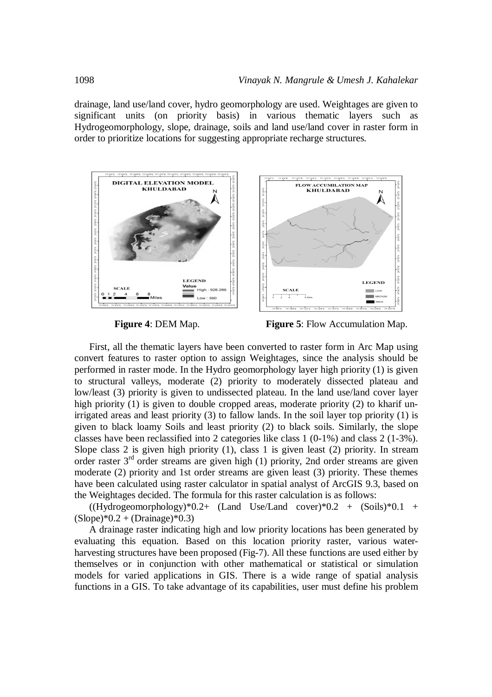drainage, land use/land cover, hydro geomorphology are used. Weightages are given to significant units (on priority basis) in various thematic layers such as Hydrogeomorphology, slope, drainage, soils and land use/land cover in raster form in order to prioritize locations for suggesting appropriate recharge structures.



**Figure 4**: DEM Map. **Figure 5**: Flow Accumulation Map.

First, all the thematic layers have been converted to raster form in Arc Map using convert features to raster option to assign Weightages, since the analysis should be performed in raster mode. In the Hydro geomorphology layer high priority (1) is given to structural valleys, moderate (2) priority to moderately dissected plateau and low/least (3) priority is given to undissected plateau. In the land use/land cover layer high priority (1) is given to double cropped areas, moderate priority (2) to kharif unirrigated areas and least priority (3) to fallow lands. In the soil layer top priority (1) is given to black loamy Soils and least priority (2) to black soils. Similarly, the slope classes have been reclassified into 2 categories like class 1 (0-1%) and class 2 (1-3%). Slope class 2 is given high priority (1), class 1 is given least (2) priority. In stream order raster 3rd order streams are given high (1) priority, 2nd order streams are given moderate (2) priority and 1st order streams are given least (3) priority. These themes have been calculated using raster calculator in spatial analyst of ArcGIS 9.3, based on the Weightages decided. The formula for this raster calculation is as follows:

 $((Hydrogeomorphology)*0.2+ (Land Use/Land cover)*0.2 + (Soils)*0.1 +$  $(Slope)*0.2 + (Drainage)*0.3)$ 

A drainage raster indicating high and low priority locations has been generated by evaluating this equation. Based on this location priority raster, various waterharvesting structures have been proposed (Fig-7). All these functions are used either by themselves or in conjunction with other mathematical or statistical or simulation models for varied applications in GIS. There is a wide range of spatial analysis functions in a GIS. To take advantage of its capabilities, user must define his problem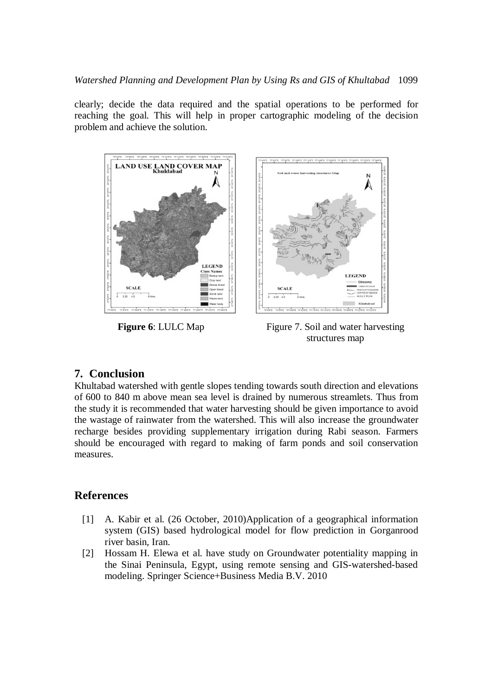clearly; decide the data required and the spatial operations to be performed for reaching the goal. This will help in proper cartographic modeling of the decision problem and achieve the solution.





**Figure 6**: LULC Map Figure 7. Soil and water harvesting structures map

## **7. Conclusion**

Khultabad watershed with gentle slopes tending towards south direction and elevations of 600 to 840 m above mean sea level is drained by numerous streamlets. Thus from the study it is recommended that water harvesting should be given importance to avoid the wastage of rainwater from the watershed. This will also increase the groundwater recharge besides providing supplementary irrigation during Rabi season. Farmers should be encouraged with regard to making of farm ponds and soil conservation measures.

### **References**

- [1] A. Kabir et al. (26 October, 2010)Application of a geographical information system (GIS) based hydrological model for flow prediction in Gorganrood river basin, Iran.
- [2] Hossam H. Elewa et al. have study on Groundwater potentiality mapping in the Sinai Peninsula, Egypt, using remote sensing and GIS-watershed-based modeling. Springer Science+Business Media B.V. 2010